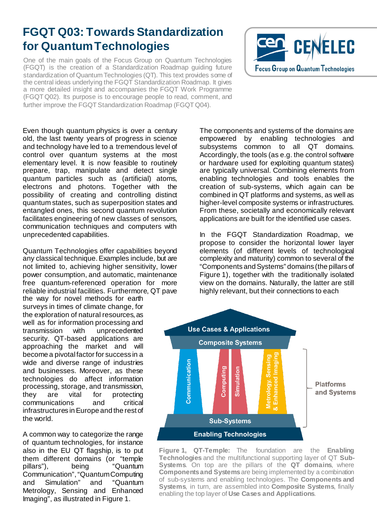## **FGQT Q03: Towards Standardization for Quantum Technologies**

One of the main goals of the Focus Group on Quantum Technologies (FGQT) is the creation of a Standardization Roadmap guiding future standardization of Quantum Technologies (QT). This text provides some of the central ideas underlying the FGQT Standardization Roadmap. It gives a more detailed insight and accompanies the FGQT Work Programme (FGQT Q02). Its purpose is to encourage people to read, comment, and further improve the FGQT Standardization Roadmap (FGQT Q04).

Even though quantum physics is over a century old, the last twenty years of progress in science and technology have led to a tremendous level of control over quantum systems at the most elementary level. It is now feasible to routinely prepare, trap, manipulate and detect single quantum particles such as (artificial) atoms, electrons and photons. Together with the possibility of creating and controlling distinct quantum states, such as superposition states and entangled ones, this second quantum revolution facilitates engineering of new classes of sensors, communication techniques and computers with unprecedented capabilities.

Quantum Technologies offer capabilities beyond any classical technique. Examples include, but are not limited to, achieving higher sensitivity, lower power consumption, and automatic, maintenance free quantum-referenced operation for more reliable industrial facilities. Furthermore, QT pave

the way for novel methods for earth surveys in times of climate change, for the exploration of natural resources, as well as for information processing and<br>transmission with unprecedented with unprecedented security. QT-based applications are approaching the market and will become a pivotal factor for success in a wide and diverse range of industries and businesses. Moreover, as these technologies do affect information processing, storage, and transmission, they are vital for protecting communications and critical infrastructures in Europe and the rest of the world.

A common way to categorize the range of quantum technologies, for instance also in the EU QT flagship, is to put them different domains (or "temple<br>pillars"), being "Quantum "Quantum Communication", "Quantum Computing and Simulation" and "Quantum Metrology, Sensing and Enhanced Imaging", as illustrated in Figure 1.



The components and systems of the domains are empowered by enabling technologies and subsystems common to all QT domains. Accordingly, the tools (as e.g. the control software or hardware used for exploiting quantum states) are typically universal. Combining elements from enabling technologies and tools enables the creation of sub-systems, which again can be combined in QT platforms and systems, as well as higher-level composite systems or infrastructures. From these, societally and economically relevant applications are built for the identified use cases.

In the FGQT Standardization Roadmap, we propose to consider the horizontal lower layer elements (of different levels of technological complexity and maturity) common to several of the "Components and Systems" domains (the pillars of Figure 1), together with the traditionally isolated view on the domains. Naturally, the latter are still highly relevant, but their connections to each



**Figure 1, QT-Temple:** The foundation are the **Enabling Technologies** and the multifunctional supporting layer of QT **Sub-Systems**. On top are the pillars of the **QT domains**, where **Components and Systems**are being implemented by a combination of sub-systems and enabling technologies. The **Components and Systems**, in turn, are assembled into **Composite Systems**, finally enabling the top layer of **Use Cases and Applications**.